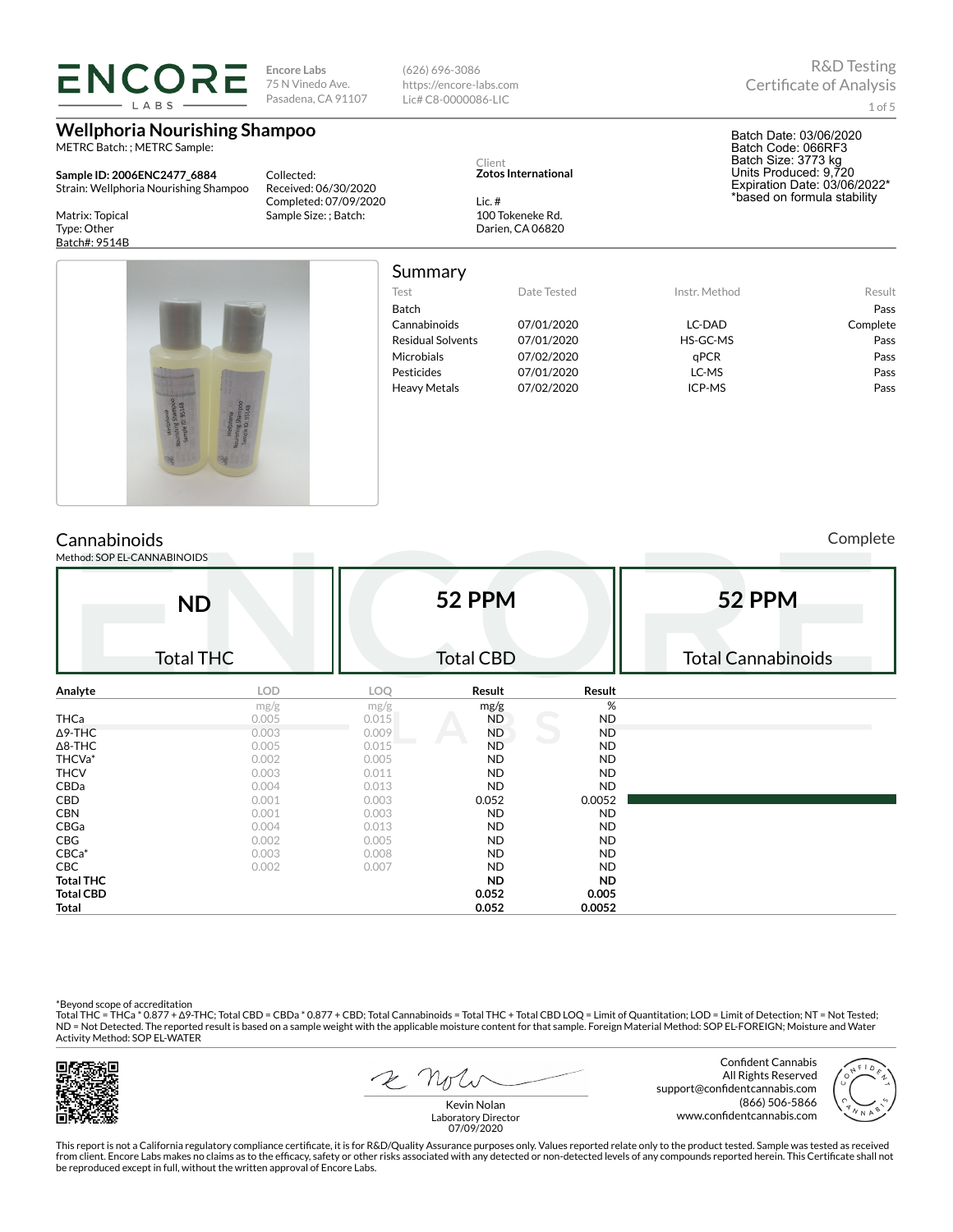| LABS                                                                                                                                                                                                                                                                                    | <b>ENCORE</b><br><b>Encore Labs</b><br>75 N Vinedo Ave.<br>Pasadena, CA 91107                                                  |                                                                                                                         | $(626)$ 696-3086<br>https://encore-labs.com<br>Lic# C8-0000086-LIC                                                                                                      |                                                                                                                                                                                         | <b>R&amp;D</b> Testing<br><b>Certificate of Analysis</b><br>$1$ of $5$                                                                                      |                                                                        |  |  |
|-----------------------------------------------------------------------------------------------------------------------------------------------------------------------------------------------------------------------------------------------------------------------------------------|--------------------------------------------------------------------------------------------------------------------------------|-------------------------------------------------------------------------------------------------------------------------|-------------------------------------------------------------------------------------------------------------------------------------------------------------------------|-----------------------------------------------------------------------------------------------------------------------------------------------------------------------------------------|-------------------------------------------------------------------------------------------------------------------------------------------------------------|------------------------------------------------------------------------|--|--|
| <b>Wellphoria Nourishing Shampoo</b><br>METRC Batch: ; METRC Sample:<br>Collected:<br>Sample ID: 2006ENC2477_6884<br>Strain: Wellphoria Nourishing Shampoo<br>Received: 06/30/2020<br>Completed: 07/09/2020<br>Matrix: Topical<br>Sample Size: ; Batch:<br>Type: Other<br>Batch#: 9514B |                                                                                                                                |                                                                                                                         | Client<br><b>Zotos International</b><br>Lic. $#$<br>100 Tokeneke Rd.<br>Darien, CA 06820                                                                                |                                                                                                                                                                                         | Batch Date: 03/06/2020<br>Batch Code: 066RF3<br>Batch Size: 3773 kg<br>Units Produced: 9,720<br>Expiration Date: 03/06/2022*<br>*based on formula stability |                                                                        |  |  |
| Cannabinoids                                                                                                                                                                                                                                                                            |                                                                                                                                | Summary<br>Test<br><b>Batch</b><br>Cannabinoids<br>Microbials<br>Pesticides<br><b>Heavy Metals</b>                      | <b>Residual Solvents</b>                                                                                                                                                | Date Tested<br>07/01/2020<br>07/01/2020<br>07/02/2020<br>07/01/2020<br>07/02/2020                                                                                                       | Instr. Method<br>LC-DAD<br>HS-GC-MS<br>qPCR<br>LC-MS<br>ICP-MS                                                                                              | Result<br>Pass<br>Complete<br>Pass<br>Pass<br>Pass<br>Pass<br>Complete |  |  |
| Method: SOP EL-CANNABINOIDS                                                                                                                                                                                                                                                             | <b>ND</b>                                                                                                                      |                                                                                                                         | 52 PPM                                                                                                                                                                  |                                                                                                                                                                                         | 52 PPM                                                                                                                                                      |                                                                        |  |  |
| <b>Total THC</b>                                                                                                                                                                                                                                                                        |                                                                                                                                |                                                                                                                         | <b>Total CBD</b>                                                                                                                                                        |                                                                                                                                                                                         | <b>Total Cannabinoids</b>                                                                                                                                   |                                                                        |  |  |
| Analyte<br><b>THCa</b><br>$\Delta$ 9-THC<br>$\Delta$ 8-THC<br>THCVa*<br><b>THCV</b><br>CBDa<br>CBD<br><b>CBN</b><br>CBGa<br>CBG<br>$CBCa*$<br>CBC<br><b>Total THC</b><br><b>Total CBD</b>                                                                                               | <b>LOD</b><br>mg/g<br>0.005<br>0.003<br>0.005<br>0.002<br>0.003<br>0.004<br>0.001<br>0.001<br>0.004<br>0.002<br>0.003<br>0.002 | LOQ<br>mg/g<br>0.015<br>0.009<br>0.015<br>0.005<br>0.011<br>0.013<br>0.003<br>0.003<br>0.013<br>0.005<br>0.008<br>0.007 | Result<br>mg/g<br>ND<br><b>ND</b><br><b>ND</b><br>ND<br><b>ND</b><br><b>ND</b><br>0.052<br><b>ND</b><br>ND<br><b>ND</b><br><b>ND</b><br><b>ND</b><br><b>ND</b><br>0.052 | Result<br>$\%$<br><b>ND</b><br><b>ND</b><br><b>ND</b><br>ND.<br><b>ND</b><br><b>ND</b><br>0.0052<br><b>ND</b><br><b>ND</b><br><b>ND</b><br><b>ND</b><br><b>ND</b><br><b>ND</b><br>0.005 |                                                                                                                                                             |                                                                        |  |  |

\*Beyond scope of accreditation<br>Total THC = THCa \* 0.877 + Δ9-THC; Total CBD = CBDa \* 0.877 + CBD; Total Cannabinoids = Total THC + Total CBD LOQ = Limit of Quantitation; LOD = Limit of Detection; NT = Not Tested;<br>ND = Not Activity Method: SOP EL-WATER



 $2$   $n<sub>f</sub>$ 

**Total 0.052 0.0052**

Confident Cannabis All Rights Reserved support@confidentcannabis.com (866) 506-5866 www.confidentcannabis.com



Kevin Nolan Laboratory Director 07/09/2020

This report is not a California regulatory compliance certificate, it is for R&D/Quality Assurance purposes only. Values reported relate only to the product tested. Sample was tested as received from client. Encore Labs makes no claims as to the efficacy, safety or other risks associated with any detected or non-detected levels of any compounds reported herein. This Certificate shall not<br>be reproduced except in fu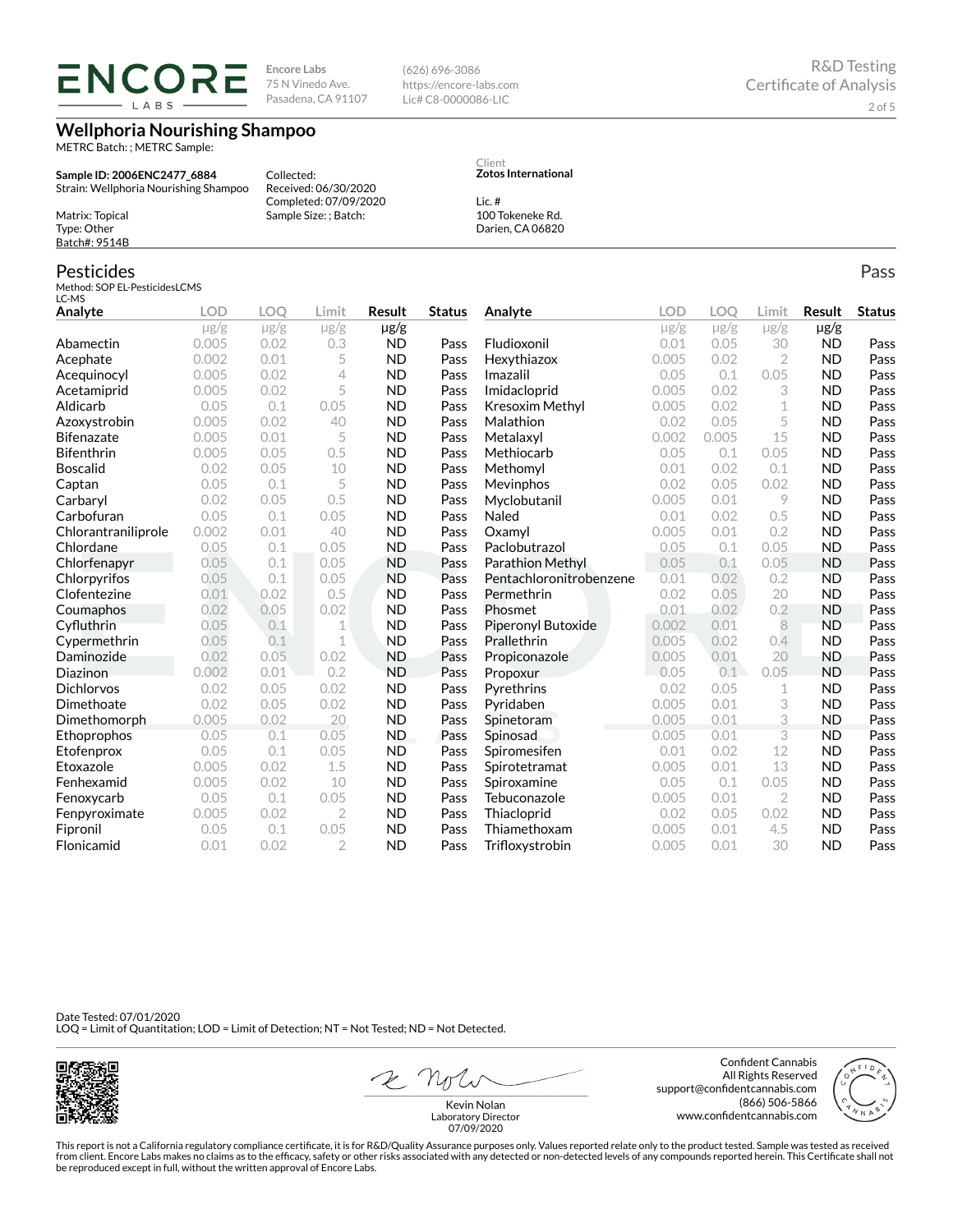**ENCORE** LABS

**Encore Labs** 75 N Vinedo Ave. Pasadena, CA 91107

Received: 06/30/2020 Completed: 07/09/2020 Sample Size: ; Batch:

Collected:

**Wellphoria Nourishing Shampoo**

METRC Batch: ; METRC Sample:

**Sample ID: 2006ENC2477\_6884** Strain: Wellphoria Nourishing Shampoo

Matrix: Topical Type: Other Batch#: 9514B

### Pesticides

Method: SOP EL-PesticidesLCMS  $LC-MS$ 

| Analyte             | <b>LOD</b> | <b>LOO</b> | Limit          | <b>Result</b> | <b>Status</b> | Analyte                 | LOD       | LOO       | Limit          | <b>Result</b> | <b>Status</b> |
|---------------------|------------|------------|----------------|---------------|---------------|-------------------------|-----------|-----------|----------------|---------------|---------------|
|                     | $\mu$ g/g  | $\mu$ g/g  | $\mu$ g/g      | $\mu$ g/g     |               |                         | $\mu$ g/g | $\mu$ g/g | $\mu$ g/g      | $\mu$ g/g     |               |
| Abamectin           | 0.005      | 0.02       | 0.3            | <b>ND</b>     | Pass          | Fludioxonil             | 0.01      | 0.05      | 30             | <b>ND</b>     | Pass          |
| Acephate            | 0.002      | 0.01       | 5              | <b>ND</b>     | Pass          | Hexythiazox             | 0.005     | 0.02      | $\overline{2}$ | <b>ND</b>     | Pass          |
| Acequinocyl         | 0.005      | 0.02       | 4              | <b>ND</b>     | Pass          | Imazalil                | 0.05      | 0.1       | 0.05           | <b>ND</b>     | Pass          |
| Acetamiprid         | 0.005      | 0.02       | 5              | <b>ND</b>     | Pass          | Imidacloprid            | 0.005     | 0.02      | 3              | <b>ND</b>     | Pass          |
| Aldicarb            | 0.05       | 0.1        | 0.05           | <b>ND</b>     | Pass          | Kresoxim Methyl         | 0.005     | 0.02      | 1              | <b>ND</b>     | Pass          |
| Azoxystrobin        | 0.005      | 0.02       | 40             | <b>ND</b>     | Pass          | Malathion               | 0.02      | 0.05      | 5              | <b>ND</b>     | Pass          |
| <b>Bifenazate</b>   | 0.005      | 0.01       | 5              | <b>ND</b>     | Pass          | Metalaxyl               | 0.002     | 0.005     | 15             | <b>ND</b>     | Pass          |
| <b>Bifenthrin</b>   | 0.005      | 0.05       | 0.5            | <b>ND</b>     | Pass          | Methiocarb              | 0.05      | 0.1       | 0.05           | <b>ND</b>     | Pass          |
| <b>Boscalid</b>     | 0.02       | 0.05       | 10             | <b>ND</b>     | Pass          | Methomyl                | 0.01      | 0.02      | 0.1            | <b>ND</b>     | Pass          |
| Captan              | 0.05       | 0.1        | 5              | <b>ND</b>     | Pass          | Mevinphos               | 0.02      | 0.05      | 0.02           | <b>ND</b>     | Pass          |
| Carbaryl            | 0.02       | 0.05       | 0.5            | <b>ND</b>     | Pass          | Myclobutanil            | 0.005     | 0.01      | 9              | <b>ND</b>     | Pass          |
| Carbofuran          | 0.05       | 0.1        | 0.05           | <b>ND</b>     | Pass          | Naled                   | 0.01      | 0.02      | 0.5            | <b>ND</b>     | Pass          |
| Chlorantraniliprole | 0.002      | 0.01       | 40             | <b>ND</b>     | Pass          | Oxamvl                  | 0.005     | 0.01      | 0.2            | <b>ND</b>     | Pass          |
| Chlordane           | 0.05       | 0.1        | 0.05           | <b>ND</b>     | Pass          | Paclobutrazol           | 0.05      | 0.1       | 0.05           | <b>ND</b>     | Pass          |
| Chlorfenapyr        | 0.05       | 0.1        | 0.05           | <b>ND</b>     | Pass          | Parathion Methyl        | 0.05      | 0.1       | 0.05           | <b>ND</b>     | Pass          |
| Chlorpyrifos        | 0.05       | 0.1        | 0.05           | <b>ND</b>     | Pass          | Pentachloronitrobenzene | 0.01      | 0.02      | 0.2            | <b>ND</b>     | Pass          |
| Clofentezine        | 0.01       | 0.02       | 0.5            | <b>ND</b>     | Pass          | Permethrin              | 0.02      | 0.05      | 20             | <b>ND</b>     | Pass          |
| Coumaphos           | 0.02       | 0.05       | 0.02           | <b>ND</b>     | Pass          | Phosmet                 | 0.01      | 0.02      | 0.2            | <b>ND</b>     | Pass          |
| Cyfluthrin          | 0.05       | 0.1        | 1              | <b>ND</b>     | Pass          | Piperonyl Butoxide      | 0.002     | 0.01      | 8              | <b>ND</b>     | Pass          |
| Cypermethrin        | 0.05       | 0.1        | 1              | <b>ND</b>     | Pass          | Prallethrin             | 0.005     | 0.02      | 0.4            | <b>ND</b>     | Pass          |
| Daminozide          | 0.02       | 0.05       | 0.02           | <b>ND</b>     | Pass          | Propiconazole           | 0.005     | 0.01      | 20             | <b>ND</b>     | Pass          |
| Diazinon            | 0.002      | 0.01       | 0.2            | <b>ND</b>     | Pass          | Propoxur                | 0.05      | 0.1       | 0.05           | <b>ND</b>     | Pass          |
| <b>Dichlorvos</b>   | 0.02       | 0.05       | 0.02           | <b>ND</b>     | Pass          | Pyrethrins              | 0.02      | 0.05      | 1              | <b>ND</b>     | Pass          |
| Dimethoate          | 0.02       | 0.05       | 0.02           | <b>ND</b>     | Pass          | Pyridaben               | 0.005     | 0.01      | 3              | <b>ND</b>     | Pass          |
| Dimethomorph        | 0.005      | 0.02       | 20             | <b>ND</b>     | Pass          | Spinetoram              | 0.005     | 0.01      | 3              | <b>ND</b>     | Pass          |
| Ethoprophos         | 0.05       | 0.1        | 0.05           | <b>ND</b>     | Pass          | Spinosad                | 0.005     | 0.01      | 3              | <b>ND</b>     | Pass          |
| Etofenprox          | 0.05       | 0.1        | 0.05           | <b>ND</b>     | Pass          | Spiromesifen            | 0.01      | 0.02      | 12             | <b>ND</b>     | Pass          |
| Etoxazole           | 0.005      | 0.02       | 1.5            | <b>ND</b>     | Pass          | Spirotetramat           | 0.005     | 0.01      | 13             | <b>ND</b>     | Pass          |
| Fenhexamid          | 0.005      | 0.02       | 10             | <b>ND</b>     | Pass          | Spiroxamine             | 0.05      | 0.1       | 0.05           | <b>ND</b>     | Pass          |
| Fenoxycarb          | 0.05       | 0.1        | 0.05           | <b>ND</b>     | Pass          | Tebuconazole            | 0.005     | 0.01      | $\overline{2}$ | <b>ND</b>     | Pass          |
| Fenpyroximate       | 0.005      | 0.02       | $\overline{2}$ | <b>ND</b>     | Pass          | Thiacloprid             | 0.02      | 0.05      | 0.02           | <b>ND</b>     | Pass          |
| Fipronil            | 0.05       | 0.1        | 0.05           | <b>ND</b>     | Pass          | Thiamethoxam            | 0.005     | 0.01      | 4.5            | <b>ND</b>     | Pass          |
| Flonicamid          | 0.01       | 0.02       | $\mathfrak{D}$ | <b>ND</b>     | Pass          | Trifloxystrobin         | 0.005     | 0.01      | 30             | <b>ND</b>     | Pass          |

Date Tested: 07/01/2020 LOQ = Limit of Quantitation; LOD = Limit of Detection; NT = Not Tested; ND = Not Detected.



2 not

Confident Cannabis All Rights Reserved support@confidentcannabis.com (866) 506-5866 www.confidentcannabis.com



This report is not a California regulatory compliance certificate, it is for R&D/Quality Assurance purposes only. Values reported relate only to the product tested. Sample was tested as received from client. Encore Labs makes no claims as to the efficacy, safety or other risks associated with any detected or non-detected levels of any compounds reported herein. This Certificate shall not<br>be reproduced except in fu 07/09/2020

Pass

**Zotos International**

Lic. # 100 Tokeneke Rd. Darien, CA 06820

Client

(626) 696-3086 https://encore-labs.com Lic# C8-0000086-LIC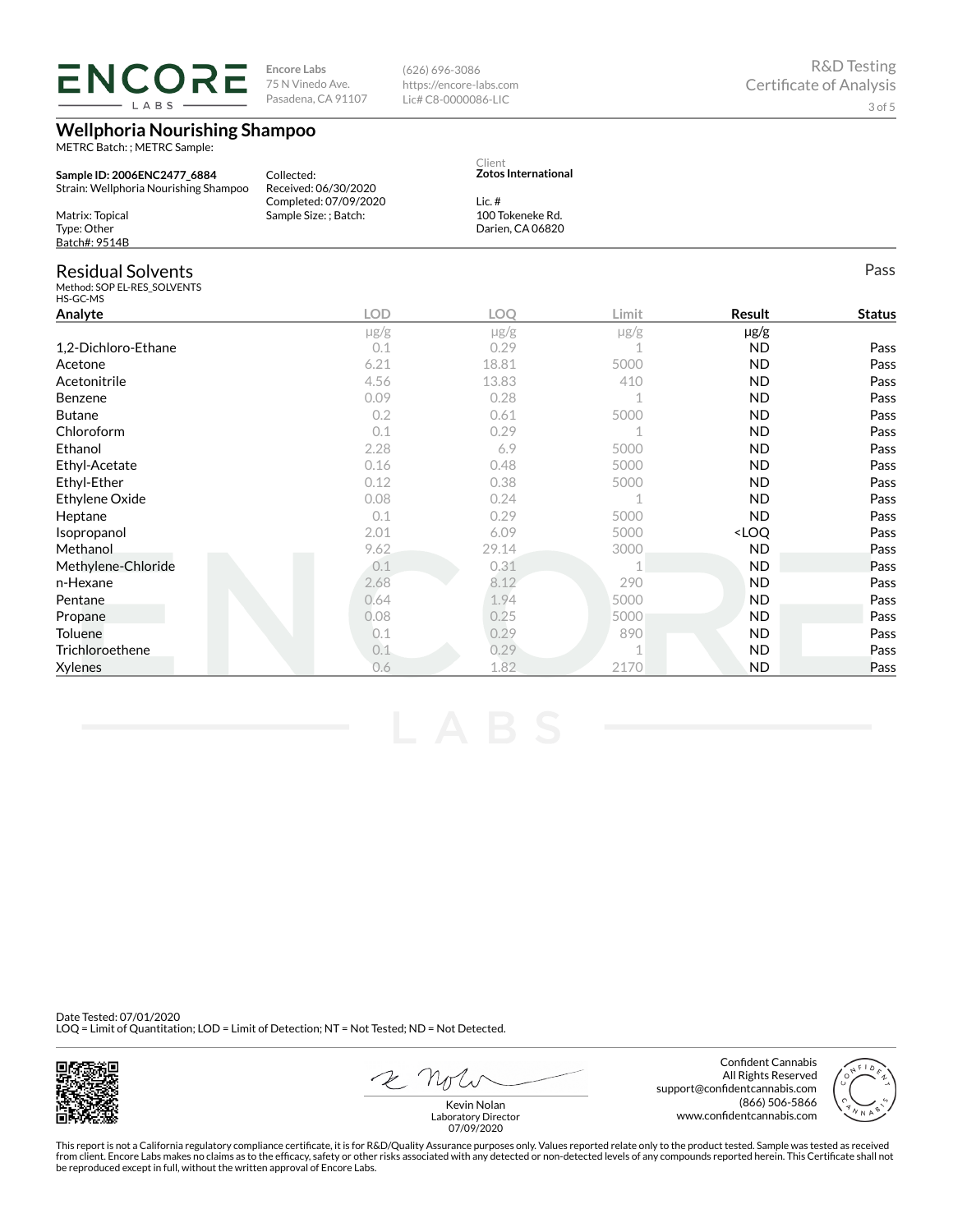LABS

**Encore Labs** 75 N Vinedo Ave. Pasadena, CA 91107

**Wellphoria Nourishing Shampoo**

METRC Batch: ; METRC Sample:

(626) 696-3086 https://encore-labs.com Lic# C8-0000086-LIC

| Sample ID: 2006ENC2477 6884<br>Strain: Wellphoria Nourishing Shampoo | Collected:<br>Received: 06/30/2020<br>Completed: 07/09/2020 | Client<br><b>Zotos International</b><br>Lic. $#$ |                                      |                                  |               |
|----------------------------------------------------------------------|-------------------------------------------------------------|--------------------------------------------------|--------------------------------------|----------------------------------|---------------|
| Matrix: Topical<br>Type: Other<br>Batch#: 9514B                      | Sample Size: ; Batch:                                       |                                                  | 100 Tokeneke Rd.<br>Darien, CA 06820 |                                  |               |
| <b>Residual Solvents</b><br>Method: SOP EL-RES SOLVENTS<br>HS-GC-MS  |                                                             |                                                  |                                      |                                  | Pass          |
| Analyte                                                              | <b>LOD</b>                                                  | <b>LOO</b>                                       | Limit                                | Result                           | <b>Status</b> |
|                                                                      | $\mu$ g/g                                                   | $\mu$ g/g                                        | $\mu$ g/g                            | $\mu$ g/g                        |               |
| 1,2-Dichloro-Ethane                                                  | 0.1                                                         | 0.29                                             |                                      | <b>ND</b>                        | Pass          |
| Acetone                                                              | 6.21                                                        | 18.81                                            | 5000                                 | <b>ND</b>                        | Pass          |
| Acetonitrile                                                         | 4.56                                                        | 13.83                                            | 410                                  | <b>ND</b>                        | Pass          |
| Benzene                                                              | 0.09                                                        | 0.28                                             | 1                                    | <b>ND</b>                        | Pass          |
| <b>Butane</b>                                                        | 0.2                                                         | 0.61                                             | 5000                                 | <b>ND</b>                        | Pass          |
| Chloroform                                                           | 0.1                                                         | 0.29                                             |                                      | <b>ND</b>                        | Pass          |
| Ethanol                                                              | 2.28                                                        | 6.9                                              | 5000                                 | <b>ND</b>                        | Pass          |
| Ethyl-Acetate                                                        | 0.16                                                        | 0.48                                             | 5000                                 | <b>ND</b>                        | Pass          |
| Ethyl-Ether                                                          | 0.12                                                        | 0.38                                             | 5000                                 | <b>ND</b>                        | Pass          |
| Ethylene Oxide                                                       | 0.08                                                        | 0.24                                             | 1                                    | <b>ND</b>                        | Pass          |
| Heptane                                                              | 0.1                                                         | 0.29                                             | 5000                                 | <b>ND</b>                        | Pass          |
| Isopropanol                                                          | 2.01                                                        | 6.09                                             | 5000                                 | <loo< td=""><td>Pass</td></loo<> | Pass          |
| Methanol                                                             | 9.62                                                        | 29.14                                            | 3000                                 | <b>ND</b>                        | Pass          |
| Methylene-Chloride                                                   | 0.1                                                         | 0.31                                             | 1                                    | <b>ND</b>                        | Pass          |
| n-Hexane                                                             | 2.68                                                        | 8.12                                             | 290                                  | <b>ND</b>                        | Pass          |
| Pentane                                                              | 0.64                                                        | 1.94                                             | 5000                                 | <b>ND</b>                        | Pass          |
| Propane                                                              | 0.08                                                        | 0.25                                             | 5000                                 | <b>ND</b>                        | Pass          |
| Toluene                                                              | 0.1                                                         | 0.29                                             | 890                                  | <b>ND</b>                        | Pass          |
| Trichloroethene                                                      | 0.1                                                         | 0.29                                             | 1                                    | <b>ND</b>                        | Pass          |
| <b>Xylenes</b>                                                       | 0.6                                                         | 1.82                                             | 2170                                 | <b>ND</b>                        | Pass          |

Date Tested: 07/01/2020 LOQ = Limit of Quantitation; LOD = Limit of Detection; NT = Not Tested; ND = Not Detected.



2 Not

Confident Cannabis All Rights Reserved support@confidentcannabis.com (866) 506-5866 www.confidentcannabis.com



Kevin Nolan Laboratory Director 07/09/2020

This report is not a California regulatory compliance certificate, it is for R&D/Quality Assurance purposes only. Values reported relate only to the product tested. Sample was tested as received from client. Encore Labs makes no claims as to the efficacy, safety or other risks associated with any detected or non-detected levels of any compounds reported herein. This Certificate shall not<br>be reproduced except in fu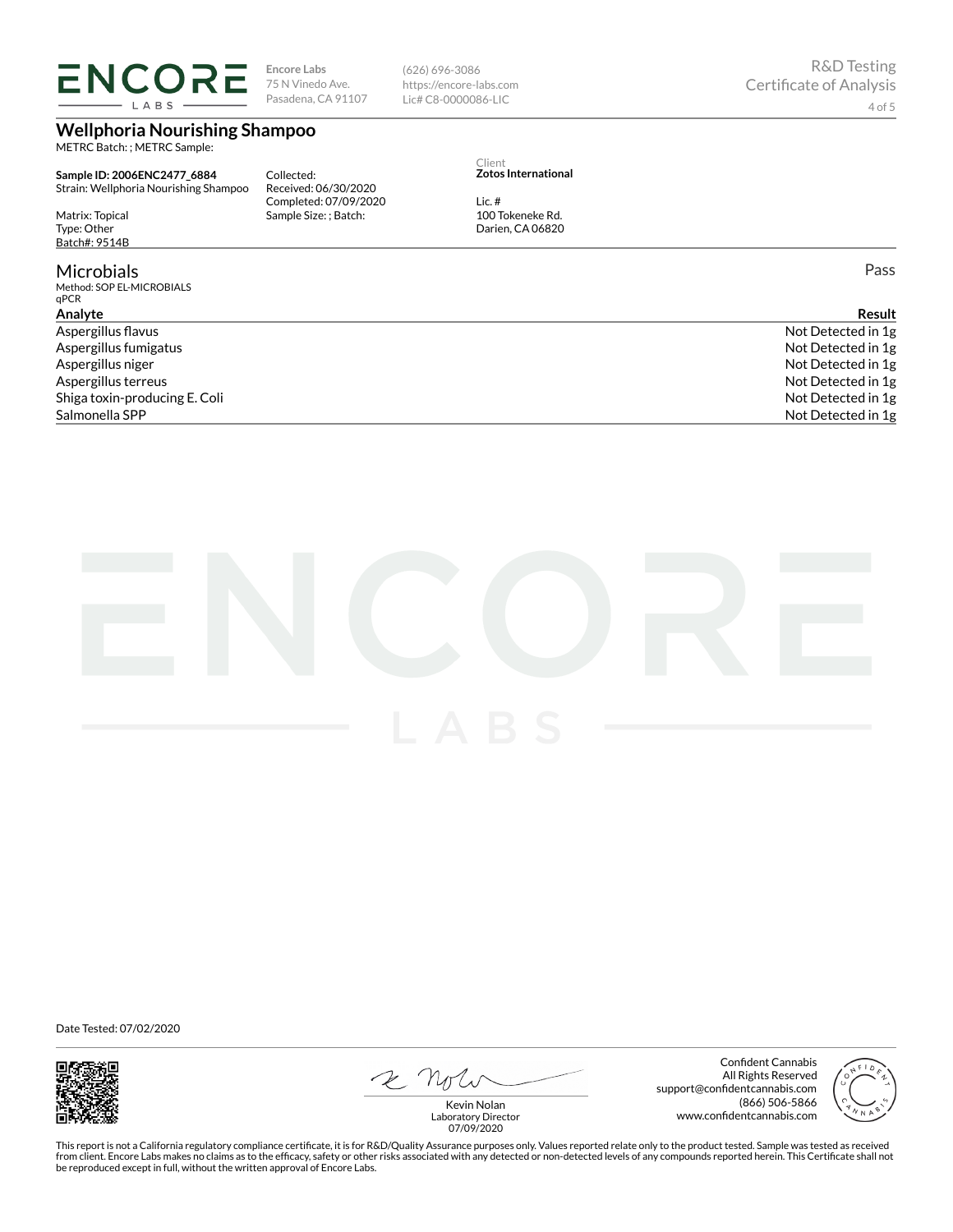# **ENCORE** LABS

**Encore Labs** 75 N Vinedo Ave. Pasadena, CA 91107

**Wellphoria Nourishing Shampoo**

METRC Batch: ; METRC Sample:

**Sample ID: 2006ENC2477\_6884** Strain: Wellphoria Nourishing Shampoo

Matrix: Topical Type: Other Batch#: 9514B

## **Microbials**

Method: SOP EL-MICROBIALS qPCR

Collected: Received: 06/30/2020 Completed: 07/09/2020 Sample Size: ; Batch:

(626) 696-3086 https://encore-labs.com Lic# C8-0000086-LIC

#### Client **Zotos International**

Lic. # 100 Tokeneke Rd. Darien, CA 06820

Pass

| Analvte                       | Result             |
|-------------------------------|--------------------|
| Aspergillus flavus            | Not Detected in 1g |
| Aspergillus fumigatus         | Not Detected in 1g |
| Aspergillus niger             | Not Detected in 1g |
| Aspergillus terreus           | Not Detected in 1g |
| Shiga toxin-producing E. Coli | Not Detected in 1g |
| Salmonella SPP                | Not Detected in 1g |
|                               |                    |



Date Tested: 07/02/2020



2 Note

Confident Cannabis All Rights Reserved support@confidentcannabis.com (866) 506-5866 www.confidentcannabis.com



Kevin Nolan Laboratory Director 07/09/2020

This report is not a California regulatory compliance certificate, it is for R&D/Quality Assurance purposes only. Values reported relate only to the product tested. Sample was tested as received from client. Encore Labs makes no claims as to the efficacy, safety or other risks associated with any detected or non-detected levels of any compounds reported herein. This Certificate shall not<br>be reproduced except in fu